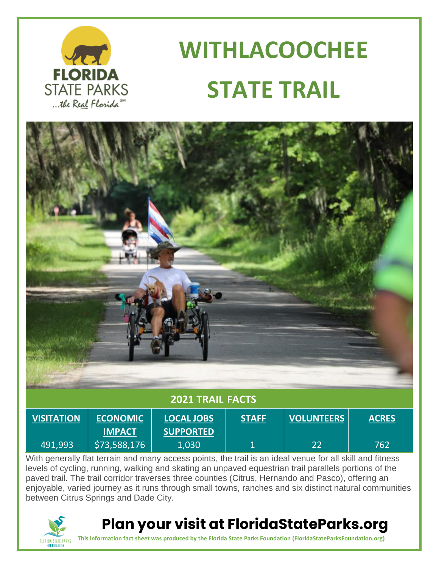

# **WITHLACOOCHEE STATE TRAIL**



With generally flat terrain and many access points, the trail is an ideal venue for all skill and fitness levels of cycling, running, walking and skating an unpaved equestrian trail parallels portions of the paved trail. The trail corridor traverses three counties (Citrus, Hernando and Pasco), offering an enjoyable, varied journey as it runs through small towns, ranches and six distinct natural communities between Citrus Springs and Dade City.



### **Plan your visit at FloridaStateParks.org**

**This information fact sheet was produced by the Florida State Parks Foundation (FloridaStateParksFoundation.org)**